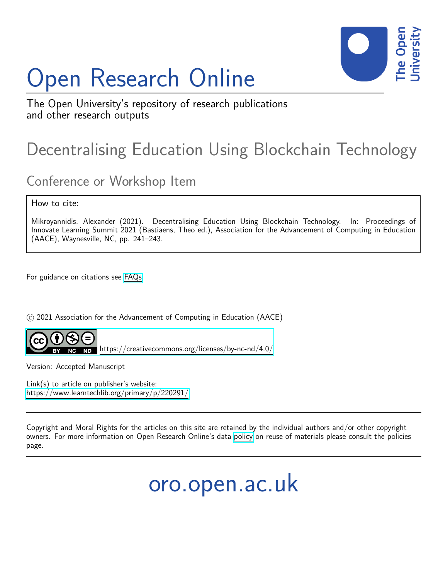# Open Research Online



The Open University's repository of research publications and other research outputs

## Decentralising Education Using Blockchain Technology

### Conference or Workshop Item

How to cite:

Mikroyannidis, Alexander (2021). Decentralising Education Using Blockchain Technology. In: Proceedings of Innovate Learning Summit 2021 (Bastiaens, Theo ed.), Association for the Advancement of Computing in Education (AACE), Waynesville, NC, pp. 241–243.

For guidance on citations see [FAQs.](http://oro.open.ac.uk/help/helpfaq.html)

(c) 2021 Association for the Advancement of Computing in Education (AACE)



<https://creativecommons.org/licenses/by-nc-nd/4.0/>

Version: Accepted Manuscript

Link(s) to article on publisher's website: <https://www.learntechlib.org/primary/p/220291/>

Copyright and Moral Rights for the articles on this site are retained by the individual authors and/or other copyright owners. For more information on Open Research Online's data [policy](http://oro.open.ac.uk/policies.html) on reuse of materials please consult the policies page.

oro.open.ac.uk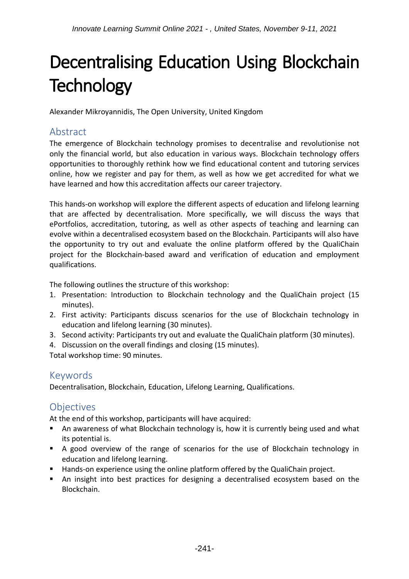## Decentralising Education Using Blockchain **Technology**

Alexander Mikroyannidis, The Open University, United Kingdom

#### Abstract

The emergence of Blockchain technology promises to decentralise and revolutionise not only the financial world, but also education in various ways. Blockchain technology offers opportunities to thoroughly rethink how we find educational content and tutoring services online, how we register and pay for them, as well as how we get accredited for what we have learned and how this accreditation affects our career trajectory.

This hands-on workshop will explore the different aspects of education and lifelong learning that are affected by decentralisation. More specifically, we will discuss the ways that ePortfolios, accreditation, tutoring, as well as other aspects of teaching and learning can evolve within a decentralised ecosystem based on the Blockchain. Participants will also have the opportunity to try out and evaluate the online platform offered by the QualiChain project for the Blockchain-based award and verification of education and employment qualifications.

The following outlines the structure of this workshop:

- 1. Presentation: Introduction to Blockchain technology and the QualiChain project (15 minutes).
- 2. First activity: Participants discuss scenarios for the use of Blockchain technology in education and lifelong learning (30 minutes).
- 3. Second activity: Participants try out and evaluate the QualiChain platform (30 minutes).
- 4. Discussion on the overall findings and closing (15 minutes).

Total workshop time: 90 minutes.

#### Keywords

Decentralisation, Blockchain, Education, Lifelong Learning, Qualifications.

#### **Objectives**

At the end of this workshop, participants will have acquired:

- An awareness of what Blockchain technology is, how it is currently being used and what its potential is.
- A good overview of the range of scenarios for the use of Blockchain technology in education and lifelong learning.
- **Hands-on experience using the online platform offered by the QualiChain project.**
- An insight into best practices for designing a decentralised ecosystem based on the Blockchain.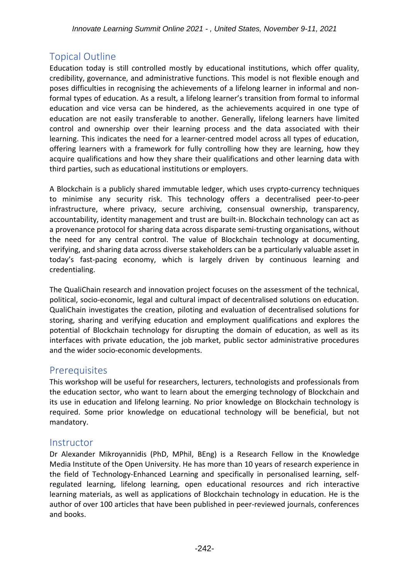#### Topical Outline

Education today is still controlled mostly by educational institutions, which offer quality, credibility, governance, and administrative functions. This model is not flexible enough and poses difficulties in recognising the achievements of a lifelong learner in informal and nonformal types of education. As a result, a lifelong learner's transition from formal to informal education and vice versa can be hindered, as the achievements acquired in one type of education are not easily transferable to another. Generally, lifelong learners have limited control and ownership over their learning process and the data associated with their learning. This indicates the need for a learner-centred model across all types of education, offering learners with a framework for fully controlling how they are learning, how they acquire qualifications and how they share their qualifications and other learning data with third parties, such as educational institutions or employers.

A Blockchain is a publicly shared immutable ledger, which uses crypto-currency techniques to minimise any security risk. This technology offers a decentralised peer-to-peer infrastructure, where privacy, secure archiving, consensual ownership, transparency, accountability, identity management and trust are built-in. Blockchain technology can act as a provenance protocol for sharing data across disparate semi-trusting organisations, without the need for any central control. The value of Blockchain technology at documenting, verifying, and sharing data across diverse stakeholders can be a particularly valuable asset in today's fast-pacing economy, which is largely driven by continuous learning and credentialing.

The QualiChain research and innovation project focuses on the assessment of the technical, political, socio-economic, legal and cultural impact of decentralised solutions on education. QualiChain investigates the creation, piloting and evaluation of decentralised solutions for storing, sharing and verifying education and employment qualifications and explores the potential of Blockchain technology for disrupting the domain of education, as well as its interfaces with private education, the job market, public sector administrative procedures and the wider socio-economic developments.

#### **Prerequisites**

This workshop will be useful for researchers, lecturers, technologists and professionals from the education sector, who want to learn about the emerging technology of Blockchain and its use in education and lifelong learning. No prior knowledge on Blockchain technology is required. Some prior knowledge on educational technology will be beneficial, but not mandatory.

#### **Instructor**

Dr Alexander Mikroyannidis (PhD, MPhil, BEng) is a Research Fellow in the Knowledge Media Institute of the Open University. He has more than 10 years of research experience in the field of Technology-Enhanced Learning and specifically in personalised learning, selfregulated learning, lifelong learning, open educational resources and rich interactive learning materials, as well as applications of Blockchain technology in education. He is the author of over 100 articles that have been published in peer-reviewed journals, conferences and books.